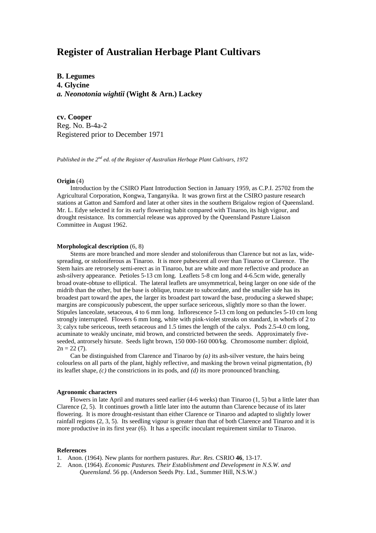# **Register of Australian Herbage Plant Cultivars**

**B. Legumes**

**4. Glycine**

*a. Neonotonia wightii* **(Wight & Arn.) Lackey**

**cv. Cooper** Reg. No. B-4a-2 Registered prior to December 1971

*Published in the 2nd ed. of the Register of Australian Herbage Plant Cultivars, 1972*

### **Origin** (4)

Introduction by the CSIRO Plant Introduction Section in January 1959, as C.P.I. 25702 from the Agricultural Corporation, Kongwa, Tanganyika. It was grown first at the CSIRO pasture research stations at Gatton and Samford and later at other sites in the southern Brigalow region of Queensland. Mr. L. Edye selected it for its early flowering habit compared with Tinaroo, its high vigour, and drought resistance. Its commercial release was approved by the Queensland Pasture Liaison Committee in August 1962.

## **Morphological description** (6, 8)

Stems are more branched and more slender and stoloniferous than Clarence but not as lax, widespreading, or stoloniferous as Tinaroo. It is more pubescent all over than Tinaroo or Clarence. The Stem hairs are retrorsely semi-erect as in Tinaroo, but are white and more reflective and produce an ash-silvery appearance. Petioles 5-13 cm long. Leaflets 5-8 cm long and 4-6.5cm wide, generally broad ovate-obtuse to elliptical. The lateral leaflets are unsymmetrical, being larger on one side of the midrib than the other, but the base is oblique, truncate to subcordate, and the smaller side has its broadest part toward the apex, the larger its broadest part toward the base, producing a skewed shape; margins are conspicuously pubescent, the upper surface sericeous, slightly more so than the lower. Stipules lanceolate, setaceous, 4 to 6 mm long. Inflorescence 5-13 cm long on peduncles 5-10 cm long strongly interrupted. Flowers 6 mm long, white with pink-violet streaks on standard, in whorls of 2 to 3; calyx tube sericeous, teeth setaceous and 1.5 times the length of the calyx. Pods 2.5-4.0 cm long, acuminate to weakly uncinate, mid brown, and constricted between the seeds. Approximately fiveseeded, antrorsely hirsute. Seeds light brown, 150 000-160 000/kg. Chromosome number: diploid,  $2n = 22(7)$ .

Can be distinguished from Clarence and Tinaroo by *(a)* its ash-silver vesture, the hairs being colourless on all parts of the plant, highly reflective, and masking the brown veinal pigmentation, *(b)* its leaflet shape, *(c)* the constrictions in its pods, and *(d)* its more pronounced branching.

#### **Agronomic characters**

Flowers in late April and matures seed earlier (4-6 weeks) than Tinaroo (1, 5) but a little later than Clarence (2, 5). It continues growth a little later into the autumn than Clarence because of its later flowering. It is more drought-resistant than either Clarence or Tinaroo and adapted to slightly lower rainfall regions (2, 3, 5). Its seedling vigour is greater than that of both Clarence and Tinaroo and it is more productive in its first year (6). It has a specific inoculant requirement similar to Tinaroo.

#### **References**

1. Anon. (1964). New plants for northern pastures. *Rur. Res.* CSRIO **46**, 13-17.

2. Anon. (1964). *Economic Pastures. Their Establishment and Development in N.S.W. and Queensland*. 56 pp. (Anderson Seeds Pty. Ltd., Summer Hill, N.S.W.)